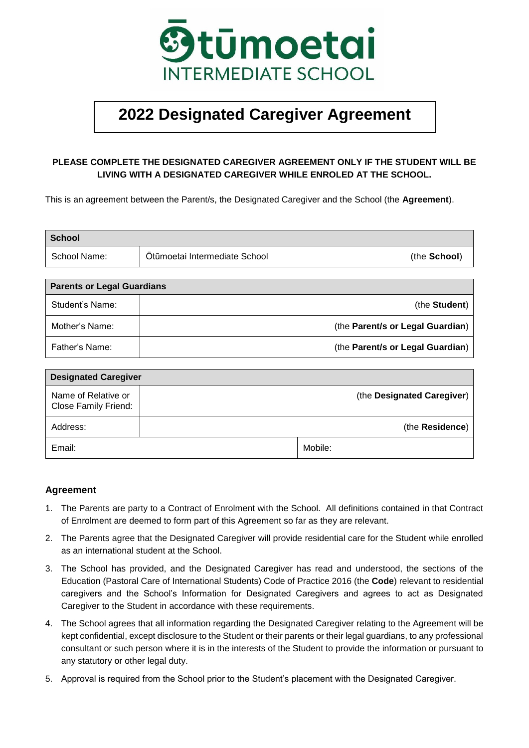

## **2022 Designated Caregiver Agreement**

## **PLEASE COMPLETE THE DESIGNATED CAREGIVER AGREEMENT ONLY IF THE STUDENT WILL BE LIVING WITH A DESIGNATED CAREGIVER WHILE ENROLED AT THE SCHOOL.**

This is an agreement between the Parent/s, the Designated Caregiver and the School (the **Agreement**).

| <b>School</b> |                               |              |
|---------------|-------------------------------|--------------|
| School Name:  | Ōtūmoetai Intermediate School | (the School) |

| <b>Parents or Legal Guardians</b> |                                  |  |  |  |
|-----------------------------------|----------------------------------|--|--|--|
| Student's Name:                   | (the <b>Student</b> )            |  |  |  |
| Mother's Name:                    | (the Parent/s or Legal Guardian) |  |  |  |
| Father's Name:                    | (the Parent/s or Legal Guardian) |  |  |  |

| <b>Designated Caregiver</b>                 |  |         |                            |  |  |
|---------------------------------------------|--|---------|----------------------------|--|--|
| Name of Relative or<br>Close Family Friend: |  |         | (the Designated Caregiver) |  |  |
| Address:                                    |  |         | (the Residence)            |  |  |
| Email:                                      |  | Mobile: |                            |  |  |

## **Agreement**

- 1. The Parents are party to a Contract of Enrolment with the School. All definitions contained in that Contract of Enrolment are deemed to form part of this Agreement so far as they are relevant.
- 2. The Parents agree that the Designated Caregiver will provide residential care for the Student while enrolled as an international student at the School.
- 3. The School has provided, and the Designated Caregiver has read and understood, the sections of the Education (Pastoral Care of International Students) Code of Practice 2016 (the **Code**) relevant to residential caregivers and the School's Information for Designated Caregivers and agrees to act as Designated Caregiver to the Student in accordance with these requirements.
- 4. The School agrees that all information regarding the Designated Caregiver relating to the Agreement will be kept confidential, except disclosure to the Student or their parents or their legal guardians, to any professional consultant or such person where it is in the interests of the Student to provide the information or pursuant to any statutory or other legal duty.
- 5. Approval is required from the School prior to the Student's placement with the Designated Caregiver.